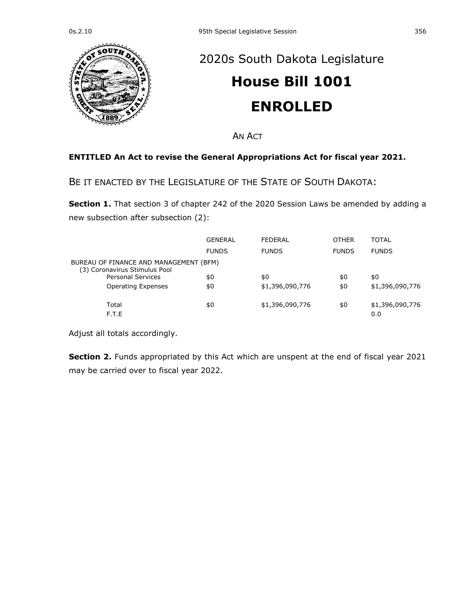

## [2020s South Dakota Legislature](https://sdlegislature.gov/Legislative_Session/Bills/Default.aspx?Session=2020s) **[House Bill 1001](https://sdlegislature.gov/Legislative_Session/Bills/Bill.aspx?Bill=1001&Session=2020s)**

## **ENROLLED**

AN ACT

## **ENTITLED An Act to revise the General Appropriations Act for fiscal year 2021.**

BE IT ENACTED BY THE LEGISLATURE OF THE STATE OF SOUTH DAKOTA:

**Section 1.** That section 3 of chapter 242 of the 2020 Session Laws be amended by adding a new subsection after subsection (2):

|                                                                         | GENERAL      | <b>FEDERAL</b>  | <b>OTHER</b> | <b>TOTAL</b>           |  |
|-------------------------------------------------------------------------|--------------|-----------------|--------------|------------------------|--|
|                                                                         | <b>FUNDS</b> | <b>FUNDS</b>    | <b>FUNDS</b> | <b>FUNDS</b>           |  |
| BUREAU OF FINANCE AND MANAGEMENT (BFM)<br>(3) Coronavirus Stimulus Pool |              |                 |              |                        |  |
| <b>Personal Services</b>                                                | \$0          | \$0             | \$0          | \$0                    |  |
| <b>Operating Expenses</b>                                               | \$0          | \$1,396,090,776 | \$0          | \$1,396,090,776        |  |
| Total<br>F.T.E                                                          | \$0          | \$1,396,090,776 | \$0          | \$1,396,090,776<br>0.0 |  |

Adjust all totals accordingly.

**Section 2.** Funds appropriated by this Act which are unspent at the end of fiscal year 2021 may be carried over to fiscal year 2022.